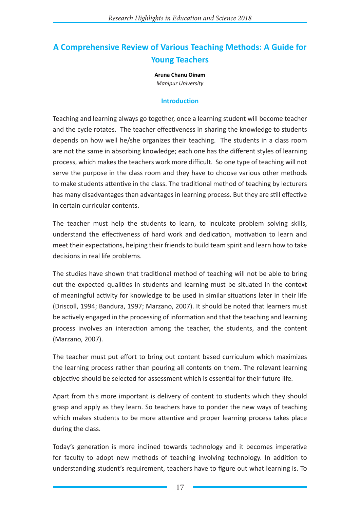# **A Comprehensive Review of Various Teaching Methods: A Guide for Young Teachers**

**Aruna Chanu Oinam** *Manipur University*

#### **Introduction**

Teaching and learning always go together, once a learning student will become teacher and the cycle rotates. The teacher effectiveness in sharing the knowledge to students depends on how well he/she organizes their teaching. The students in a class room are not the same in absorbing knowledge; each one has the different styles of learning process, which makes the teachers work more difficult. So one type of teaching will not serve the purpose in the class room and they have to choose various other methods to make students attentive in the class. The traditional method of teaching by lecturers has many disadvantages than advantages in learning process. But they are still effective in certain curricular contents.

The teacher must help the students to learn, to inculcate problem solving skills, understand the effectiveness of hard work and dedication, motivation to learn and meet their expectations, helping their friends to build team spirit and learn how to take decisions in real life problems.

The studies have shown that traditional method of teaching will not be able to bring out the expected qualities in students and learning must be situated in the context of meaningful activity for knowledge to be used in similar situations later in their life (Driscoll, 1994; Bandura, 1997; Marzano, 2007). It should be noted that learners must be actively engaged in the processing of information and that the teaching and learning process involves an interaction among the teacher, the students, and the content (Marzano, 2007).

The teacher must put effort to bring out content based curriculum which maximizes the learning process rather than pouring all contents on them. The relevant learning objective should be selected for assessment which is essential for their future life.

Apart from this more important is delivery of content to students which they should grasp and apply as they learn. So teachers have to ponder the new ways of teaching which makes students to be more attentive and proper learning process takes place during the class.

Today's generation is more inclined towards technology and it becomes imperative for faculty to adopt new methods of teaching involving technology. In addition to understanding student's requirement, teachers have to figure out what learning is. To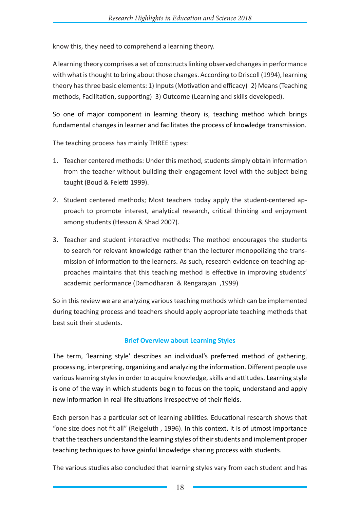know this, they need to comprehend a learning theory.

A learning theory comprises a set of constructs linking observed changes in performance with what is thought to bring about those changes. According to Driscoll (1994), learning theory has three basic elements: 1) Inputs (Motivation and efficacy) 2) Means (Teaching methods, Facilitation, supporting) 3) Outcome (Learning and skills developed).

So one of major component in learning theory is, teaching method which brings fundamental changes in learner and facilitates the process of knowledge transmission.

The teaching process has mainly THREE types:

- 1. Teacher centered methods: Under this method, students simply obtain information from the teacher without building their engagement level with the subject being taught (Boud & Feletti 1999).
- 2. Student centered methods; Most teachers today apply the student-centered approach to promote interest, analytical research, critical thinking and enjoyment among students (Hesson & Shad 2007).
- 3. Teacher and student interactive methods: The method encourages the students to search for relevant knowledge rather than the lecturer monopolizing the transmission of information to the learners. As such, research evidence on teaching approaches maintains that this teaching method is effective in improving students' academic performance (Damodharan & Rengarajan ,1999)

So in this review we are analyzing various teaching methods which can be implemented during teaching process and teachers should apply appropriate teaching methods that best suit their students.

#### **Brief Overview about Learning Styles**

The term, 'learning style' describes an individual's preferred method of gathering, processing, interpreting, organizing and analyzing the information. Different people use various learning styles in order to acquire knowledge, skills and attitudes. Learning style is one of the way in which students begin to focus on the topic, understand and apply new information in real life situations irrespective of their fields.

Each person has a particular set of learning abilities. Educational research shows that "one size does not fit all" (Reigeluth , 1996). In this context, it is of utmost importance that the teachers understand the learning styles of their students and implement proper teaching techniques to have gainful knowledge sharing process with students.

The various studies also concluded that learning styles vary from each student and has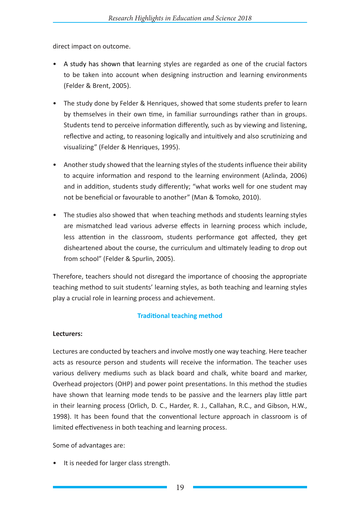direct impact on outcome.

- A study has shown that learning styles are regarded as one of the crucial factors to be taken into account when designing instruction and learning environments (Felder & Brent, 2005).
- The study done by Felder & Henriques, showed that some students prefer to learn by themselves in their own time, in familiar surroundings rather than in groups. Students tend to perceive information differently, such as by viewing and listening, reflective and acting, to reasoning logically and intuitively and also scrutinizing and visualizing" (Felder & Henriques, 1995).
- Another study showed that the learning styles of the students influence their ability to acquire information and respond to the learning environment (Azlinda, 2006) and in addition, students study differently; "what works well for one student may not be beneficial or favourable to another" (Man & Tomoko, 2010).
- The studies also showed that when teaching methods and students learning styles are mismatched lead various adverse effects in learning process which include, less attention in the classroom, students performance got affected, they get disheartened about the course, the curriculum and ultimately leading to drop out from school" (Felder & Spurlin, 2005).

Therefore, teachers should not disregard the importance of choosing the appropriate teaching method to suit students' learning styles, as both teaching and learning styles play a crucial role in learning process and achievement.

#### **Traditional teaching method**

#### **Lecturers:**

Lectures are conducted by teachers and involve mostly one way teaching. Here teacher acts as resource person and students will receive the information. The teacher uses various delivery mediums such as black board and chalk, white board and marker, Overhead projectors (OHP) and power point presentations. In this method the studies have shown that learning mode tends to be passive and the learners play little part in their learning process (Orlich, D. C., Harder, R. J., Callahan, R.C., and Gibson, H.W., 1998). It has been found that the conventional lecture approach in classroom is of limited effectiveness in both teaching and learning process.

Some of advantages are:

• It is needed for larger class strength.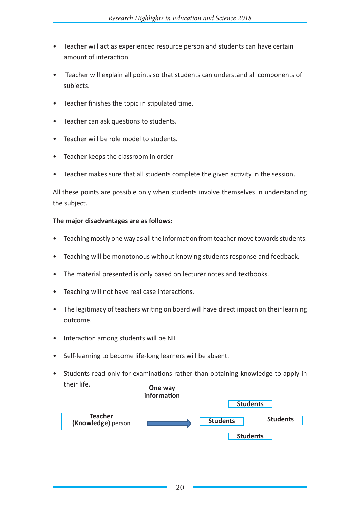- Teacher will act as experienced resource person and students can have certain amount of interaction.
- Teacher will explain all points so that students can understand all components of subjects.
- Teacher finishes the topic in stipulated time.
- Teacher can ask questions to students.
- Teacher will be role model to students.
- Teacher keeps the classroom in order
- Teacher makes sure that all students complete the given activity in the session.

All these points are possible only when students involve themselves in understanding the subject.

#### **The major disadvantages are as follows:**

- Teaching mostly one way as all the information from teacher move towards students.
- Teaching will be monotonous without knowing students response and feedback.
- The material presented is only based on lecturer notes and textbooks.
- Teaching will not have real case interactions.
- The legitimacy of teachers writing on board will have direct impact on their learning outcome.
- Interaction among students will be NIL
- Self-learning to become life-long learners will be absent.
- Students read only for examinations rather than obtaining knowledge to apply in their life. **One way**

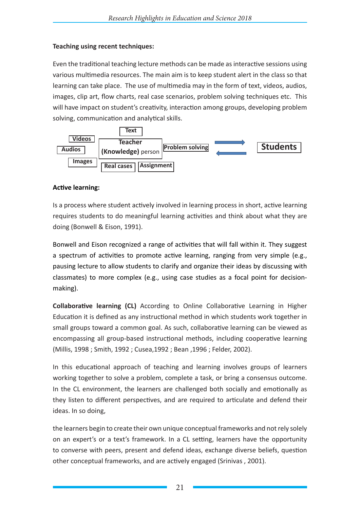## **Teaching using recent techniques:**

Even the traditional teaching lecture methods can be made as interactive sessions using various multimedia resources. The main aim is to keep student alert in the class so that learning can take place. The use of multimedia may in the form of text, videos, audios, images, clip art, flow charts, real case scenarios, problem solving techniques etc. This will have impact on student's creativity, interaction among groups, developing problem solving, communication and analytical skills.



## **Active learning:**

Is a process where student actively involved in learning process in short, active learning requires students to do meaningful learning activities and think about what they are doing (Bonwell & Eison, 1991).

Bonwell and Eison recognized a range of activities that will fall within it. They suggest a spectrum of activities to promote active learning, ranging from very simple (e.g., pausing lecture to allow students to clarify and organize their ideas by discussing with classmates) to more complex (e.g., using case studies as a focal point for decisionmaking).

**Collaborative learning (CL)** According to Online Collaborative Learning in Higher Education it is defined as any instructional method in which students work together in small groups toward a common goal. As such, collaborative learning can be viewed as encompassing all group-based instructional methods, including cooperative learning (Millis, 1998 ; Smith, 1992 ; Cusea,1992 ; Bean ,1996 ; Felder, 2002).

In this educational approach of teaching and learning involves groups of learners working together to solve a problem, complete a task, or bring a consensus outcome. In the CL environment, the learners are challenged both socially and emotionally as they listen to different perspectives, and are required to articulate and defend their ideas. In so doing,

the learners begin to create their own unique conceptual frameworks and not rely solely on an expert's or a text's framework. In a CL setting, learners have the opportunity to converse with peers, present and defend ideas, exchange diverse beliefs, question other conceptual frameworks, and are actively engaged (Srinivas , 2001).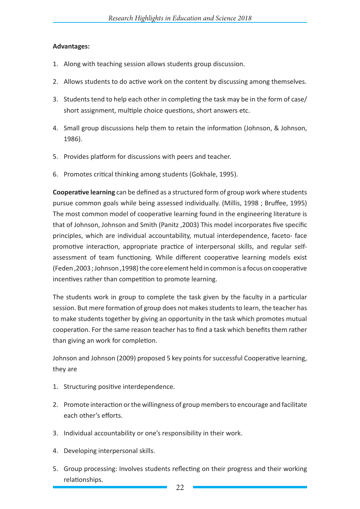#### **Advantages:**

- 1. Along with teaching session allows students group discussion.
- 2. Allows students to do active work on the content by discussing among themselves.
- 3. Students tend to help each other in completing the task may be in the form of case/ short assignment, multiple choice questions, short answers etc.
- 4. Small group discussions help them to retain the information (Johnson, & Johnson, 1986).
- 5. Provides platform for discussions with peers and teacher.
- 6. Promotes critical thinking among students (Gokhale, 1995).

**Cooperative learning** can be defined as a structured form of group work where students pursue common goals while being assessed individually. (Millis, 1998 ; Bruffee, 1995) The most common model of cooperative learning found in the engineering literature is that of Johnson, Johnson and Smith (Panitz ,2003) This model incorporates five specific principles, which are individual accountability, mutual interdependence, faceto- face promotive interaction, appropriate practice of interpersonal skills, and regular selfassessment of team functioning. While different cooperative learning models exist (Feden ,2003 ; Johnson ,1998) the core element held in common is a focus on cooperative incentives rather than competition to promote learning.

The students work in group to complete the task given by the faculty in a particular session. But mere formation of group does not makes students to learn, the teacher has to make students together by giving an opportunity in the task which promotes mutual cooperation. For the same reason teacher has to find a task which benefits them rather than giving an work for completion.

Johnson and Johnson (2009) proposed 5 key points for successful Cooperative learning, they are

- 1. Structuring positive interdependence.
- 2. Promote interaction or the willingness of group members to encourage and facilitate each other's efforts.
- 3. Individual accountability or one's responsibility in their work.
- 4. Developing interpersonal skills.
- 5. Group processing: Involves students reflecting on their progress and their working relationships.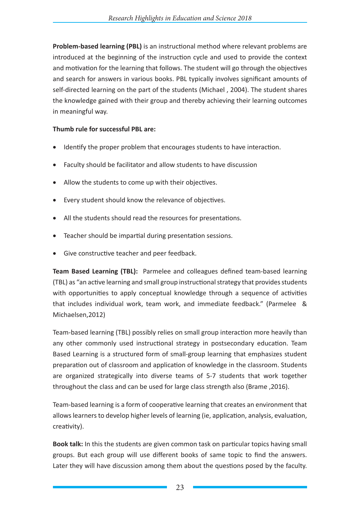**Problem-based learning (PBL)** is an instructional method where relevant problems are introduced at the beginning of the instruction cycle and used to provide the context and motivation for the learning that follows. The student will go through the objectives and search for answers in various books. PBL typically involves significant amounts of self-directed learning on the part of the students (Michael , 2004). The student shares the knowledge gained with their group and thereby achieving their learning outcomes in meaningful way.

#### **Thumb rule for successful PBL are:**

- Identify the proper problem that encourages students to have interaction.
- Faculty should be facilitator and allow students to have discussion
- Allow the students to come up with their objectives.
- Every student should know the relevance of objectives.
- All the students should read the resources for presentations.
- Teacher should be impartial during presentation sessions.
- Give constructive teacher and peer feedback.

**Team Based Learning (TBL):** Parmelee and colleagues defined team-based learning (TBL) as "an active learning and small group instructional strategy that provides students with opportunities to apply conceptual knowledge through a sequence of activities that includes individual work, team work, and immediate feedback." (Parmelee & Michaelsen,2012)

Team-based learning (TBL) possibly relies on small group interaction more heavily than any other commonly used instructional strategy in postsecondary education. Team Based Learning is a structured form of small-group learning that emphasizes student preparation out of classroom and application of knowledge in the classroom. Students are organized strategically into diverse teams of 5-7 students that work together throughout the class and can be used for large class strength also (Brame ,2016).

Team-based learning is a form of cooperative learning that creates an environment that allows learners to develop higher levels of learning (ie, application, analysis, evaluation, creativity).

**Book talk:** In this the students are given common task on particular topics having small groups. But each group will use different books of same topic to find the answers. Later they will have discussion among them about the questions posed by the faculty.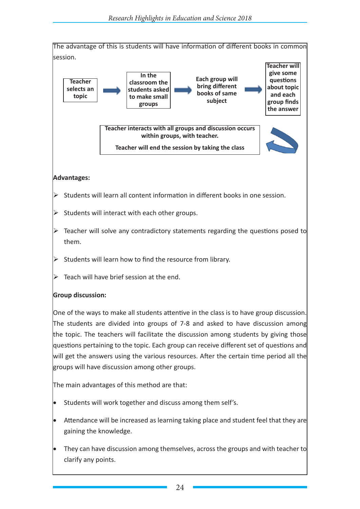

#### **Advantages:**

- $\triangleright$  Students will learn all content information in different books in one session.
- $\triangleright$  Students will interact with each other groups.
- $\triangleright$  Teacher will solve any contradictory statements regarding the questions posed to them.
- $\triangleright$  Students will learn how to find the resource from library.
- $\triangleright$  Teach will have brief session at the end.

#### **Group discussion:**

One of the ways to make all students attentive in the class is to have group discussion. The students are divided into groups of 7-8 and asked to have discussion among the topic. The teachers will facilitate the discussion among students by giving those questions pertaining to the topic. Each group can receive different set of questions and will get the answers using the various resources. After the certain time period all the groups will have discussion among other groups.

The main advantages of this method are that:

- Students will work together and discuss among them self's.
- Attendance will be increased as learning taking place and student feel that they are gaining the knowledge.
- They can have discussion among themselves, across the groups and with teacher to clarify any points.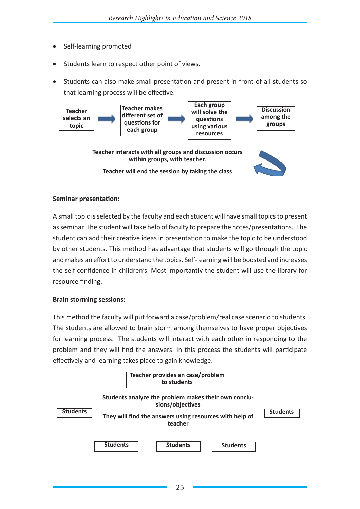- Self-learning promoted
- Students learn to respect other point of views.
- • Students can also make small presentation and present in front of all students so that learning process will be effective.



#### **Seminar presentation:**

A small topic is selected by the faculty and each student will have small topics to present as seminar. The student will take help of faculty to prepare the notes/presentations. The student can add their creative ideas in presentation to make the topic to be understood by other students. This method has advantage that students will go through the topic and makes an effort to understand the topics. Self-learning will be boosted and increases the self confidence in children's. Most importantly the student will use the library for resource finding.

#### **Brain storming sessions:**

This method the faculty will put forward a case/problem/real case scenario to students. The students are allowed to brain storm among themselves to have proper objectives for learning process. The students will interact with each other in responding to the problem and they will find the answers. In this process the students will participate effectively and learning takes place to gain knowledge.

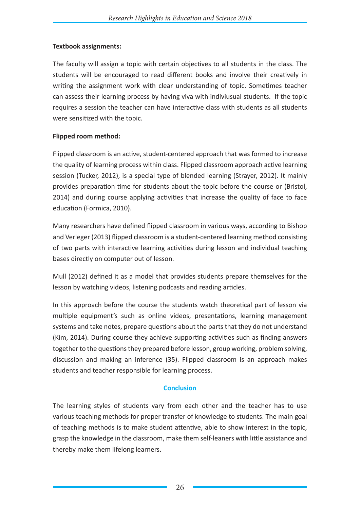#### **Textbook assignments:**

The faculty will assign a topic with certain objectives to all students in the class. The students will be encouraged to read different books and involve their creatively in writing the assignment work with clear understanding of topic. Sometimes teacher can assess their learning process by having viva with indiviusual students. If the topic requires a session the teacher can have interactive class with students as all students were sensitized with the topic.

#### **Flipped room method:**

Flipped classroom is an active, student-centered approach that was formed to increase the quality of learning process within class. Flipped classroom approach active learning session (Tucker, 2012), is a special type of blended learning (Strayer, 2012). It mainly provides preparation time for students about the topic before the course or (Bristol, 2014) and during course applying activities that increase the quality of face to face education (Formica, 2010).

Many researchers have defined flipped classroom in various ways, according to Bishop and Verleger (2013) flipped classroom is a student-centered learning method consisting of two parts with interactive learning activities during lesson and individual teaching bases directly on computer out of lesson.

Mull (2012) defined it as a model that provides students prepare themselves for the lesson by watching videos, listening podcasts and reading articles.

In this approach before the course the students watch theoretical part of lesson via multiple equipment's such as online videos, presentations, learning management systems and take notes, prepare questions about the parts that they do not understand (Kim, 2014). During course they achieve supporting activities such as finding answers together to the questions they prepared before lesson, group working, problem solving, discussion and making an inference (35). Flipped classroom is an approach makes students and teacher responsible for learning process.

#### **Conclusion**

The learning styles of students vary from each other and the teacher has to use various teaching methods for proper transfer of knowledge to students. The main goal of teaching methods is to make student attentive, able to show interest in the topic, grasp the knowledge in the classroom, make them self-leaners with little assistance and thereby make them lifelong learners.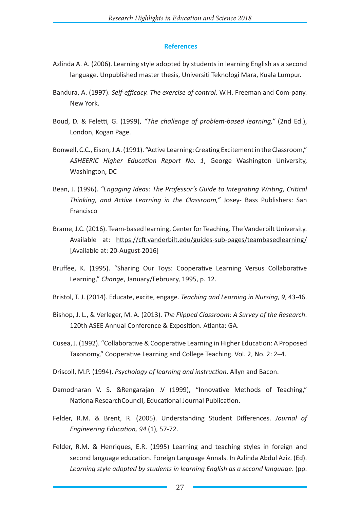#### **References**

- Azlinda A. A. (2006). Learning style adopted by students in learning English as a second language. Unpublished master thesis, Universiti Teknologi Mara, Kuala Lumpur.
- Bandura, A. (1997). *Self-efficacy. The exercise of control*. W.H. Freeman and Com-pany. New York.
- Boud, D. & Feletti, G. (1999), *"The challenge of problem-based learning,"* (2nd Ed.), London, Kogan Page.
- Bonwell, C.C., Eison, J.A. (1991). "Active Learning: Creating Excitement in the Classroom," *ASHEERIC Higher Education Report No. 1*, George Washington University, Washington, DC
- Bean, J. (1996). *"Engaging Ideas: The Professor's Guide to Integrating Writing, Critical Thinking, and Active Learning in the Classroom,"* Josey- Bass Publishers: San Francisco
- Brame, J.C. (2016). Team-based learning, Center for Teaching. The Vanderbilt University. Available at: https://cft.vanderbilt.edu/guides-sub-pages/teambasedlearning/ [Available at: 20-August-2016]
- Bruffee, K. (1995). "Sharing Our Toys: Cooperative Learning Versus Collaborative Learning," *Change*, January/February, 1995, p. 12.
- Bristol, T. J. (2014). Educate, excite, engage. *Teaching and Learning in Nursing, 9*, 43-46.
- Bishop, J. L., & Verleger, M. A. (2013). *The Flipped Classroom: A Survey of the Research*. 120th ASEE Annual Conference & Exposition. Atlanta: GA.
- Cusea, J. (1992). "Collaborative & Cooperative Learning in Higher Education: A Proposed Taxonomy," Cooperative Learning and College Teaching. Vol. 2, No. 2: 2–4.
- Driscoll, M.P. (1994). *Psychology of learning and instruction*. Allyn and Bacon.
- Damodharan V. S. &Rengarajan .V (1999), "Innovative Methods of Teaching," NationalResearchCouncil, Educational Journal Publication.
- Felder, R.M. & Brent, R. (2005). Understanding Student Differences. *Journal of Engineering Education, 94* (1), 57-72.
- Felder, R.M. & Henriques, E.R. (1995) Learning and teaching styles in foreign and second language education. Foreign Language Annals. In Azlinda Abdul Aziz. (Ed). *Learning style adopted by students in learning English as a second language*. (pp.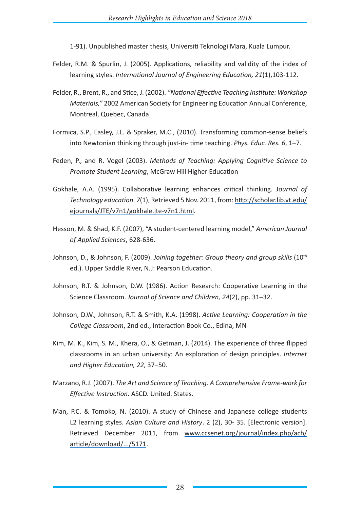1-91). Unpublished master thesis, Universiti Teknologi Mara, Kuala Lumpur.

- Felder, R.M. & Spurlin, J. (2005). Applications, reliability and validity of the index of learning styles. *International Journal of Engineering Education, 21*(1),103-112.
- Felder, R., Brent, R., and Stice, J. (2002). *"National Effective Teaching Institute: Workshop Materials,"* 2002 American Society for Engineering Education Annual Conference, Montreal, Quebec, Canada
- Formica, S.P., Easley, J.L. & Spraker, M.C., (2010). Transforming common-sense beliefs into Newtonian thinking through just-in- time teaching. *Phys. Educ. Res. 6*, 1–7.
- Feden, P., and R. Vogel (2003). *Methods of Teaching: Applying Cognitive Science to Promote Student Learning*, McGraw Hill Higher Education
- Gokhale, A.A. (1995). Collaborative learning enhances critical thinking. J*ournal of Technology education. 7*(1), Retrieved 5 Nov. 2011, from: http://scholar.lib.vt.edu/ ejournals/JTE/v7n1/gokhale.jte-v7n1.html.
- Hesson, M. & Shad, K.F. (2007), "A student-centered learning model," *American Journal of Applied Sciences*, 628-636.
- Johnson, D., & Johnson, F. (2009). *Joining together: Group theory and group skills* (10th ed.). Upper Saddle River, N.J: Pearson Education.
- Johnson, R.T. & Johnson, D.W. (1986). Action Research: Cooperative Learning in the Science Classroom. *Journal of Science and Children, 24*(2), pp. 31–32.
- Johnson, D.W., Johnson, R.T. & Smith, K.A. (1998). *Active Learning: Cooperation in the College Classroom*, 2nd ed., Interaction Book Co., Edina, MN
- Kim, M. K., Kim, S. M., Khera, O., & Getman, J. (2014). The experience of three flipped classrooms in an urban university: An exploration of design principles. *Internet and Higher Education, 22*, 37–50.
- Marzano, R.J. (2007). *The Art and Science of Teaching. A Comprehensive Frame-work for Effective Instruction*. ASCD. United. States.
- Man, P.C. & Tomoko, N. (2010). A study of Chinese and Japanese college students L2 learning styles. *Asian Culture and History*. 2 (2), 30- 35. [Electronic version]. Retrieved December 2011, from www.ccsenet.org/journal/index.php/ach/ article/download/.../5171.